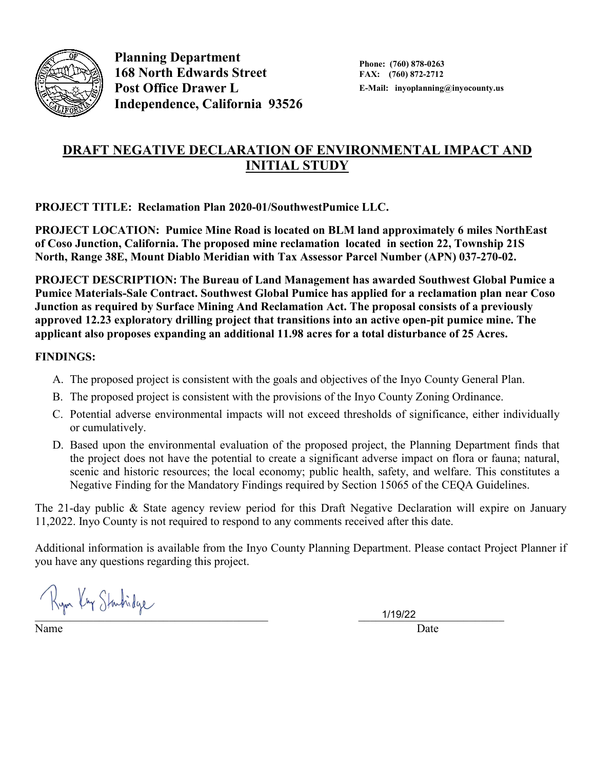

**Planning Department 168 North Edwards Street Post Office Drawer L Independence, California 93526**

# **DRAFT NEGATIVE DECLARATION OF ENVIRONMENTAL IMPACT AND INITIAL STUDY**

**PROJECT TITLE: Reclamation Plan 2020-01/SouthwestPumice LLC.**

**PROJECT LOCATION: Pumice Mine Road is located on BLM land approximately 6 miles NorthEast of Coso Junction, California. The proposed mine reclamation located in section 22, Township 21S North, Range 38E, Mount Diablo Meridian with Tax Assessor Parcel Number (APN) 037-270-02.** 

**PROJECT DESCRIPTION: The Bureau of Land Management has awarded Southwest Global Pumice a Pumice Materials-Sale Contract. Southwest Global Pumice has applied for a reclamation plan near Coso Junction as required by Surface Mining And Reclamation Act. The proposal consists of a previously approved 12.23 exploratory drilling project that transitions into an active open-pit pumice mine. The applicant also proposes expanding an additional 11.98 acres for a total disturbance of 25 Acres.** 

#### **FINDINGS:**

- A. The proposed project is consistent with the goals and objectives of the Inyo County General Plan.
- B. The proposed project is consistent with the provisions of the Inyo County Zoning Ordinance.
- C. Potential adverse environmental impacts will not exceed thresholds of significance, either individually or cumulatively.
- D. Based upon the environmental evaluation of the proposed project, the Planning Department finds that the project does not have the potential to create a significant adverse impact on flora or fauna; natural, scenic and historic resources; the local economy; public health, safety, and welfare. This constitutes a Negative Finding for the Mandatory Findings required by Section 15065 of the CEQA Guidelines.

The 21-day public & State agency review period for this Draft Negative Declaration will expire on January 11,2022. Inyo County is not required to respond to any comments received after this date.

Additional information is available from the Inyo County Planning Department. Please contact Project Planner if you have any questions regarding this project.

Ryn Kry Startidge

Name Date

1/19/22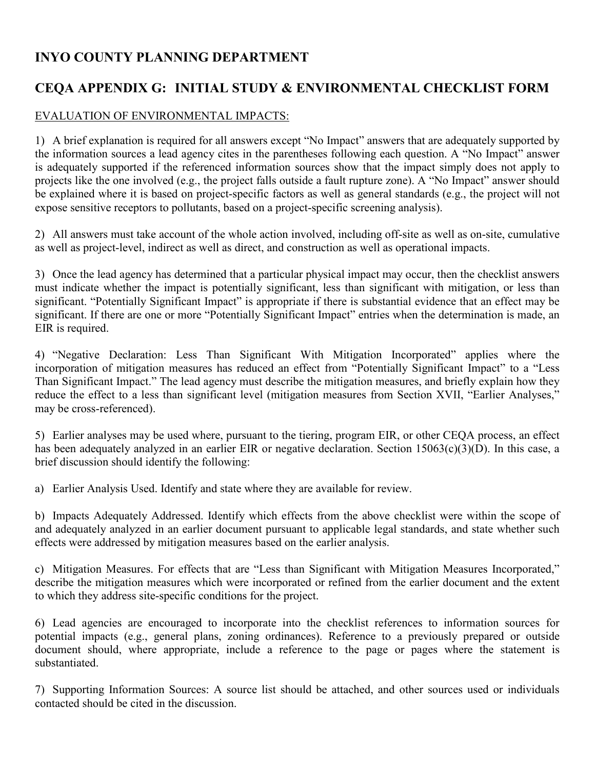## **INYO COUNTY PLANNING DEPARTMENT**

# **CEQA APPENDIX G: INITIAL STUDY & ENVIRONMENTAL CHECKLIST FORM**

## EVALUATION OF ENVIRONMENTAL IMPACTS:

1) A brief explanation is required for all answers except "No Impact" answers that are adequately supported by the information sources a lead agency cites in the parentheses following each question. A "No Impact" answer is adequately supported if the referenced information sources show that the impact simply does not apply to projects like the one involved (e.g., the project falls outside a fault rupture zone). A "No Impact" answer should be explained where it is based on project-specific factors as well as general standards (e.g., the project will not expose sensitive receptors to pollutants, based on a project-specific screening analysis).

2) All answers must take account of the whole action involved, including off-site as well as on-site, cumulative as well as project-level, indirect as well as direct, and construction as well as operational impacts.

3) Once the lead agency has determined that a particular physical impact may occur, then the checklist answers must indicate whether the impact is potentially significant, less than significant with mitigation, or less than significant. "Potentially Significant Impact" is appropriate if there is substantial evidence that an effect may be significant. If there are one or more "Potentially Significant Impact" entries when the determination is made, an EIR is required.

4) "Negative Declaration: Less Than Significant With Mitigation Incorporated" applies where the incorporation of mitigation measures has reduced an effect from "Potentially Significant Impact" to a "Less Than Significant Impact." The lead agency must describe the mitigation measures, and briefly explain how they reduce the effect to a less than significant level (mitigation measures from Section XVII, "Earlier Analyses," may be cross-referenced).

5) Earlier analyses may be used where, pursuant to the tiering, program EIR, or other CEQA process, an effect has been adequately analyzed in an earlier EIR or negative declaration. Section 15063(c)(3)(D). In this case, a brief discussion should identify the following:

a) Earlier Analysis Used. Identify and state where they are available for review.

b) Impacts Adequately Addressed. Identify which effects from the above checklist were within the scope of and adequately analyzed in an earlier document pursuant to applicable legal standards, and state whether such effects were addressed by mitigation measures based on the earlier analysis.

c) Mitigation Measures. For effects that are "Less than Significant with Mitigation Measures Incorporated," describe the mitigation measures which were incorporated or refined from the earlier document and the extent to which they address site-specific conditions for the project.

6) Lead agencies are encouraged to incorporate into the checklist references to information sources for potential impacts (e.g., general plans, zoning ordinances). Reference to a previously prepared or outside document should, where appropriate, include a reference to the page or pages where the statement is substantiated.

7) Supporting Information Sources: A source list should be attached, and other sources used or individuals contacted should be cited in the discussion.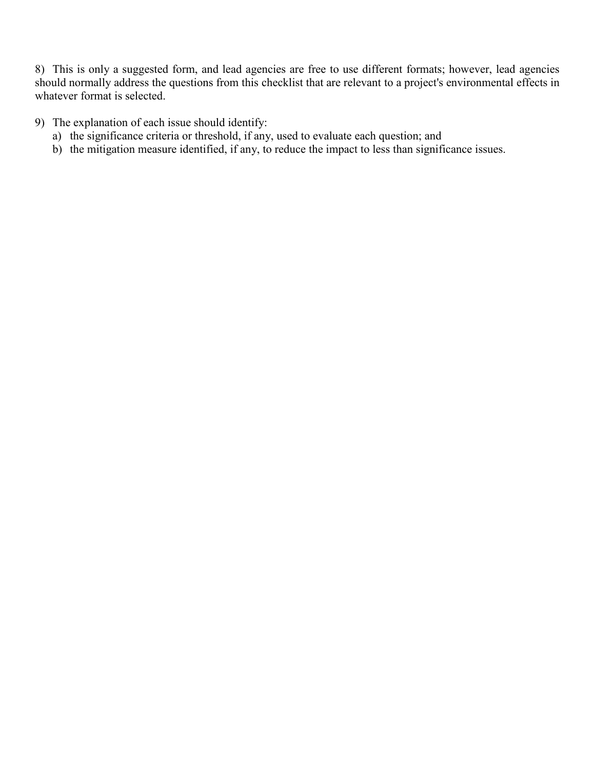8) This is only a suggested form, and lead agencies are free to use different formats; however, lead agencies should normally address the questions from this checklist that are relevant to a project's environmental effects in whatever format is selected.

- 9) The explanation of each issue should identify:
	- a) the significance criteria or threshold, if any, used to evaluate each question; and
	- b) the mitigation measure identified, if any, to reduce the impact to less than significance issues.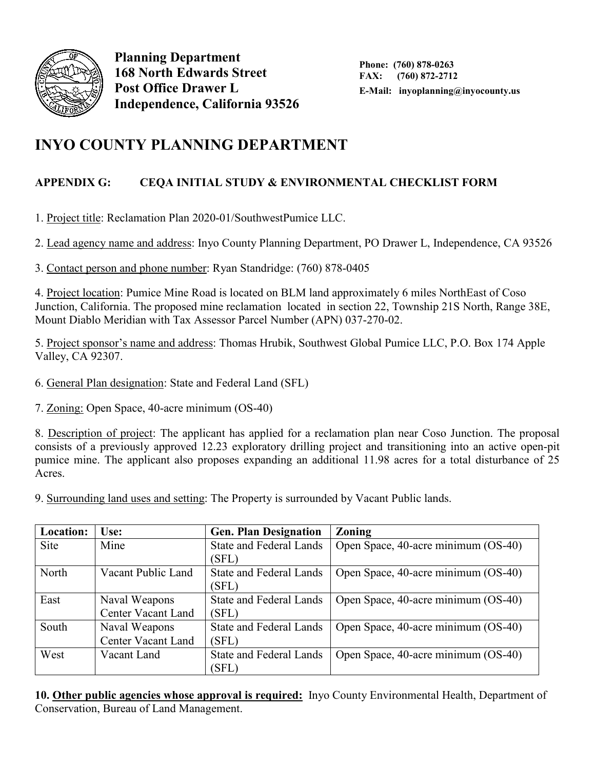

**Planning Department 168 North Edwards Street Post Office Drawer L Independence, California 93526**

# **INYO COUNTY PLANNING DEPARTMENT**

## **APPENDIX G: CEQA INITIAL STUDY & ENVIRONMENTAL CHECKLIST FORM**

1. Project title: Reclamation Plan 2020-01/SouthwestPumice LLC.

2. Lead agency name and address: Inyo County Planning Department, PO Drawer L, Independence, CA 93526

3. Contact person and phone number: Ryan Standridge: (760) 878-0405

4. Project location: Pumice Mine Road is located on BLM land approximately 6 miles NorthEast of Coso Junction, California. The proposed mine reclamation located in section 22, Township 21S North, Range 38E, Mount Diablo Meridian with Tax Assessor Parcel Number (APN) 037-270-02.

5. Project sponsor's name and address: Thomas Hrubik, Southwest Global Pumice LLC, P.O. Box 174 Apple Valley, CA 92307.

6. General Plan designation: State and Federal Land (SFL)

7. Zoning: Open Space, 40-acre minimum (OS-40)

8. Description of project: The applicant has applied for a reclamation plan near Coso Junction. The proposal consists of a previously approved 12.23 exploratory drilling project and transitioning into an active open-pit pumice mine. The applicant also proposes expanding an additional 11.98 acres for a total disturbance of 25 Acres.

9. Surrounding land uses and setting: The Property is surrounded by Vacant Public lands.

| Location:   | <b>Use:</b>               | <b>Gen. Plan Designation</b>   | <b>Zoning</b>                       |
|-------------|---------------------------|--------------------------------|-------------------------------------|
| <b>Site</b> | Mine                      | <b>State and Federal Lands</b> | Open Space, 40-acre minimum (OS-40) |
|             |                           | (SFL)                          |                                     |
| North       | Vacant Public Land        | <b>State and Federal Lands</b> | Open Space, 40-acre minimum (OS-40) |
|             |                           | (SFL)                          |                                     |
| East        | Naval Weapons             | <b>State and Federal Lands</b> | Open Space, 40-acre minimum (OS-40) |
|             | <b>Center Vacant Land</b> | (SFL)                          |                                     |
| South       | Naval Weapons             | <b>State and Federal Lands</b> | Open Space, 40-acre minimum (OS-40) |
|             | Center Vacant Land        | (SFL)                          |                                     |
| West        | Vacant Land               | <b>State and Federal Lands</b> | Open Space, 40-acre minimum (OS-40) |
|             |                           | (SFL)                          |                                     |

**10. Other public agencies whose approval is required:** Inyo County Environmental Health, Department of Conservation, Bureau of Land Management.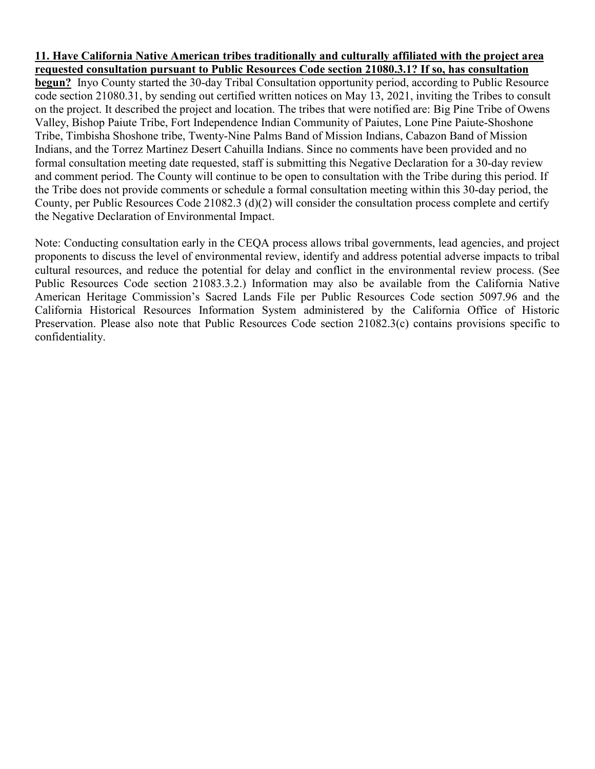#### **11. Have California Native American tribes traditionally and culturally affiliated with the project area requested consultation pursuant to Public Resources Code section 21080.3.1? If so, has consultation**

**begun?** Inyo County started the 30-day Tribal Consultation opportunity period, according to Public Resource code section 21080.31, by sending out certified written notices on May 13, 2021, inviting the Tribes to consult on the project. It described the project and location. The tribes that were notified are: Big Pine Tribe of Owens Valley, Bishop Paiute Tribe, Fort Independence Indian Community of Paiutes, Lone Pine Paiute-Shoshone Tribe, Timbisha Shoshone tribe, Twenty-Nine Palms Band of Mission Indians, Cabazon Band of Mission Indians, and the Torrez Martinez Desert Cahuilla Indians. Since no comments have been provided and no formal consultation meeting date requested, staff is submitting this Negative Declaration for a 30-day review and comment period. The County will continue to be open to consultation with the Tribe during this period. If the Tribe does not provide comments or schedule a formal consultation meeting within this 30-day period, the County, per Public Resources Code 21082.3 (d)(2) will consider the consultation process complete and certify the Negative Declaration of Environmental Impact.

Note: Conducting consultation early in the CEQA process allows tribal governments, lead agencies, and project proponents to discuss the level of environmental review, identify and address potential adverse impacts to tribal cultural resources, and reduce the potential for delay and conflict in the environmental review process. (See Public Resources Code section 21083.3.2.) Information may also be available from the California Native American Heritage Commission's Sacred Lands File per Public Resources Code section 5097.96 and the California Historical Resources Information System administered by the California Office of Historic Preservation. Please also note that Public Resources Code section 21082.3(c) contains provisions specific to confidentiality.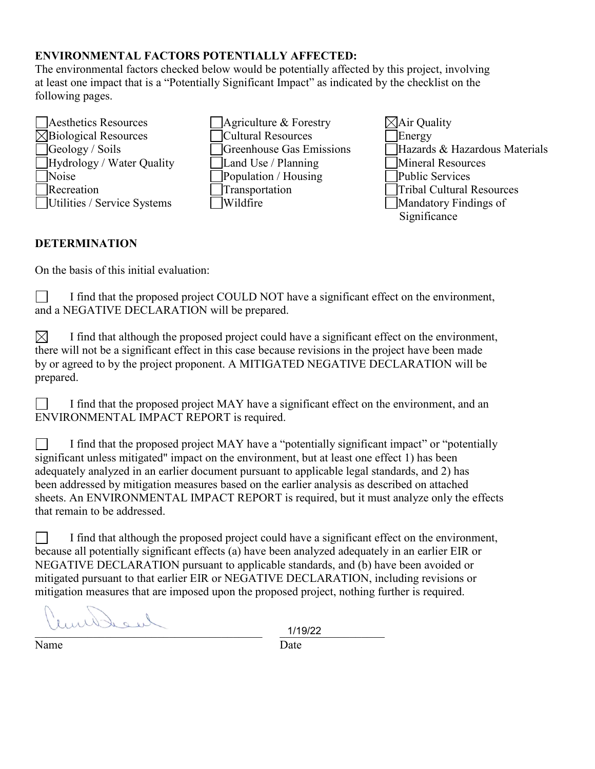## **ENVIRONMENTAL FACTORS POTENTIALLY AFFECTED:**

The environmental factors checked below would be potentially affected by this project, involving at least one impact that is a "Potentially Significant Impact" as indicated by the checklist on the following pages.



Significance

#### **DETERMINATION**

On the basis of this initial evaluation:

I find that the proposed project COULD NOT have a significant effect on the environment, and a NEGATIVE DECLARATION will be prepared.

 $\boxtimes$  I find that although the proposed project could have a significant effect on the environment, there will not be a significant effect in this case because revisions in the project have been made by or agreed to by the project proponent. A MITIGATED NEGATIVE DECLARATION will be prepared.

I find that the proposed project MAY have a significant effect on the environment, and an ENVIRONMENTAL IMPACT REPORT is required.

 $\Box$  I find that the proposed project MAY have a "potentially significant impact" or "potentially significant unless mitigated" impact on the environment, but at least one effect 1) has been adequately analyzed in an earlier document pursuant to applicable legal standards, and 2) has been addressed by mitigation measures based on the earlier analysis as described on attached sheets. An ENVIRONMENTAL IMPACT REPORT is required, but it must analyze only the effects that remain to be addressed.

I find that although the proposed project could have a significant effect on the environment, because all potentially significant effects (a) have been analyzed adequately in an earlier EIR or NEGATIVE DECLARATION pursuant to applicable standards, and (b) have been avoided or mitigated pursuant to that earlier EIR or NEGATIVE DECLARATION, including revisions or mitigation measures that are imposed upon the proposed project, nothing further is required.

Joseph  $1/19/22$ 

1/19/22

Name Date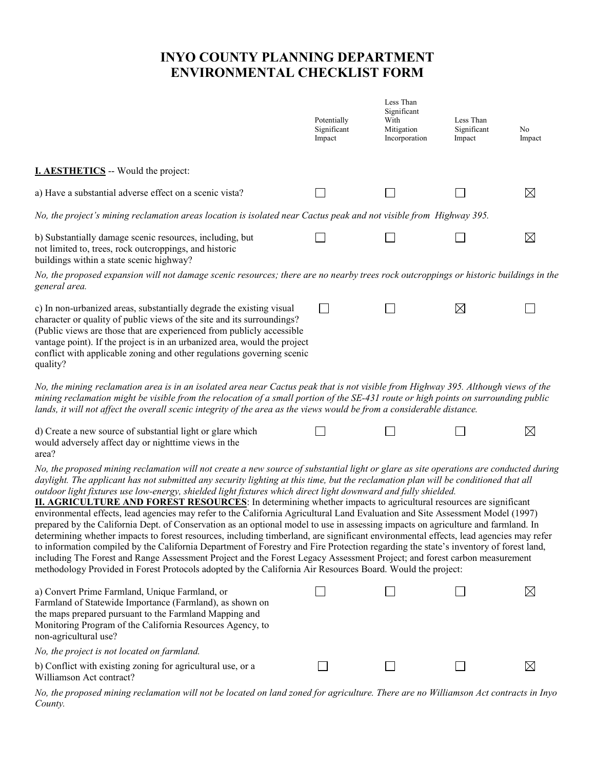# **INYO COUNTY PLANNING DEPARTMENT ENVIRONMENTAL CHECKLIST FORM**

|                                                                                                                                                                                                                                                                                                                                                                                                                                                                                                                                                                                                                                                                                                                                                                                                                                                                                                                                                                                                                                                                                                                                                                                                                                                                                                                             | Potentially<br>Significant<br>Impact | Less Than<br>Significant<br>With<br>Mitigation<br>Incorporation | Less Than<br>Significant<br>Impact | No<br>Impact |
|-----------------------------------------------------------------------------------------------------------------------------------------------------------------------------------------------------------------------------------------------------------------------------------------------------------------------------------------------------------------------------------------------------------------------------------------------------------------------------------------------------------------------------------------------------------------------------------------------------------------------------------------------------------------------------------------------------------------------------------------------------------------------------------------------------------------------------------------------------------------------------------------------------------------------------------------------------------------------------------------------------------------------------------------------------------------------------------------------------------------------------------------------------------------------------------------------------------------------------------------------------------------------------------------------------------------------------|--------------------------------------|-----------------------------------------------------------------|------------------------------------|--------------|
| <b>I. AESTHETICS</b> -- Would the project:                                                                                                                                                                                                                                                                                                                                                                                                                                                                                                                                                                                                                                                                                                                                                                                                                                                                                                                                                                                                                                                                                                                                                                                                                                                                                  |                                      |                                                                 |                                    |              |
| a) Have a substantial adverse effect on a scenic vista?                                                                                                                                                                                                                                                                                                                                                                                                                                                                                                                                                                                                                                                                                                                                                                                                                                                                                                                                                                                                                                                                                                                                                                                                                                                                     |                                      |                                                                 |                                    | $\boxtimes$  |
| No, the project's mining reclamation areas location is isolated near Cactus peak and not visible from Highway 395.                                                                                                                                                                                                                                                                                                                                                                                                                                                                                                                                                                                                                                                                                                                                                                                                                                                                                                                                                                                                                                                                                                                                                                                                          |                                      |                                                                 |                                    |              |
| b) Substantially damage scenic resources, including, but<br>not limited to, trees, rock outcroppings, and historic<br>buildings within a state scenic highway?                                                                                                                                                                                                                                                                                                                                                                                                                                                                                                                                                                                                                                                                                                                                                                                                                                                                                                                                                                                                                                                                                                                                                              |                                      |                                                                 |                                    | $\boxtimes$  |
| No, the proposed expansion will not damage scenic resources; there are no nearby trees rock outcroppings or historic buildings in the<br>general area.                                                                                                                                                                                                                                                                                                                                                                                                                                                                                                                                                                                                                                                                                                                                                                                                                                                                                                                                                                                                                                                                                                                                                                      |                                      |                                                                 |                                    |              |
| c) In non-urbanized areas, substantially degrade the existing visual<br>character or quality of public views of the site and its surroundings?<br>(Public views are those that are experienced from publicly accessible<br>vantage point). If the project is in an urbanized area, would the project<br>conflict with applicable zoning and other regulations governing scenic<br>quality?                                                                                                                                                                                                                                                                                                                                                                                                                                                                                                                                                                                                                                                                                                                                                                                                                                                                                                                                  | $\mathsf{L}$                         |                                                                 | $\boxtimes$                        |              |
| No, the mining reclamation area is in an isolated area near Cactus peak that is not visible from Highway 395. Although views of the<br>mining reclamation might be visible from the relocation of a small portion of the SE-431 route or high points on surrounding public<br>lands, it will not affect the overall scenic integrity of the area as the views would be from a considerable distance.                                                                                                                                                                                                                                                                                                                                                                                                                                                                                                                                                                                                                                                                                                                                                                                                                                                                                                                        |                                      |                                                                 |                                    |              |
| d) Create a new source of substantial light or glare which<br>would adversely affect day or nighttime views in the<br>area?                                                                                                                                                                                                                                                                                                                                                                                                                                                                                                                                                                                                                                                                                                                                                                                                                                                                                                                                                                                                                                                                                                                                                                                                 |                                      |                                                                 |                                    | $\boxtimes$  |
| No, the proposed mining reclamation will not create a new source of substantial light or glare as site operations are conducted during<br>daylight. The applicant has not submitted any security lighting at this time, but the reclamation plan will be conditioned that all<br>outdoor light fixtures use low-energy, shielded light fixtures which direct light downward and fully shielded.<br><b>II. AGRICULTURE AND FOREST RESOURCES:</b> In determining whether impacts to agricultural resources are significant<br>environmental effects, lead agencies may refer to the California Agricultural Land Evaluation and Site Assessment Model (1997)<br>prepared by the California Dept. of Conservation as an optional model to use in assessing impacts on agriculture and farmland. In<br>determining whether impacts to forest resources, including timberland, are significant environmental effects, lead agencies may refer<br>to information compiled by the California Department of Forestry and Fire Protection regarding the state's inventory of forest land,<br>including The Forest and Range Assessment Project and the Forest Legacy Assessment Project; and forest carbon measurement<br>methodology Provided in Forest Protocols adopted by the California Air Resources Board. Would the project: |                                      |                                                                 |                                    |              |
| a) Convert Prime Farmland, Unique Farmland, or<br>Farmland of Statewide Importance (Farmland), as shown on<br>the maps prepared pursuant to the Farmland Mapping and<br>Monitoring Program of the California Resources Agency, to<br>non-agricultural use?                                                                                                                                                                                                                                                                                                                                                                                                                                                                                                                                                                                                                                                                                                                                                                                                                                                                                                                                                                                                                                                                  |                                      |                                                                 |                                    | $\boxtimes$  |
| No, the project is not located on farmland.                                                                                                                                                                                                                                                                                                                                                                                                                                                                                                                                                                                                                                                                                                                                                                                                                                                                                                                                                                                                                                                                                                                                                                                                                                                                                 |                                      |                                                                 |                                    |              |
| b) Conflict with existing zoning for agricultural use, or a<br>Williamson Act contract?                                                                                                                                                                                                                                                                                                                                                                                                                                                                                                                                                                                                                                                                                                                                                                                                                                                                                                                                                                                                                                                                                                                                                                                                                                     |                                      |                                                                 |                                    | $\boxtimes$  |

*No, the proposed mining reclamation will not be located on land zoned for agriculture. There are no Williamson Act contracts in Inyo County.*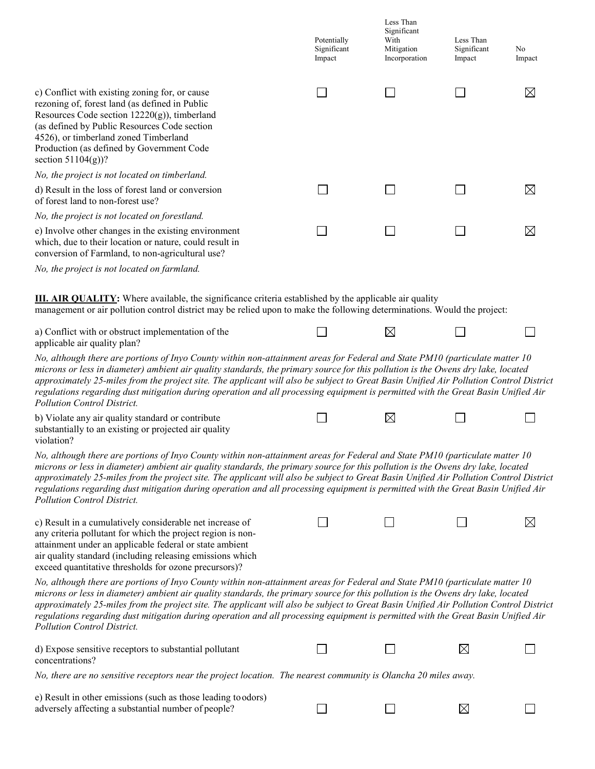|                                                                                                                                                                                                                                                                                                                                                                                                                                                                                                                                                                                       | Potentially<br>Significant<br>Impact | Less Than<br>Significant<br>With<br>Mitigation<br>Incorporation | Less Than<br>Significant<br>Impact | No<br>Impact |
|---------------------------------------------------------------------------------------------------------------------------------------------------------------------------------------------------------------------------------------------------------------------------------------------------------------------------------------------------------------------------------------------------------------------------------------------------------------------------------------------------------------------------------------------------------------------------------------|--------------------------------------|-----------------------------------------------------------------|------------------------------------|--------------|
| c) Conflict with existing zoning for, or cause<br>rezoning of, forest land (as defined in Public<br>Resources Code section 12220(g)), timberland<br>(as defined by Public Resources Code section<br>4526), or timberland zoned Timberland<br>Production (as defined by Government Code<br>section $51104(g)$ ?                                                                                                                                                                                                                                                                        |                                      |                                                                 |                                    | $\boxtimes$  |
| No, the project is not located on timberland.                                                                                                                                                                                                                                                                                                                                                                                                                                                                                                                                         |                                      |                                                                 |                                    |              |
| d) Result in the loss of forest land or conversion<br>of forest land to non-forest use?                                                                                                                                                                                                                                                                                                                                                                                                                                                                                               |                                      |                                                                 |                                    | $\boxtimes$  |
| No, the project is not located on forestland.                                                                                                                                                                                                                                                                                                                                                                                                                                                                                                                                         |                                      |                                                                 |                                    |              |
| e) Involve other changes in the existing environment<br>which, due to their location or nature, could result in<br>conversion of Farmland, to non-agricultural use?                                                                                                                                                                                                                                                                                                                                                                                                                   |                                      |                                                                 |                                    | $\boxtimes$  |
| No, the project is not located on farmland.                                                                                                                                                                                                                                                                                                                                                                                                                                                                                                                                           |                                      |                                                                 |                                    |              |
| <b>III. AIR QUALITY:</b> Where available, the significance criteria established by the applicable air quality<br>management or air pollution control district may be relied upon to make the following determinations. Would the project:                                                                                                                                                                                                                                                                                                                                             |                                      |                                                                 |                                    |              |
| a) Conflict with or obstruct implementation of the<br>applicable air quality plan?                                                                                                                                                                                                                                                                                                                                                                                                                                                                                                    |                                      | ⊠                                                               |                                    |              |
| No, although there are portions of Inyo County within non-attainment areas for Federal and State PM10 (particulate matter 10<br>microns or less in diameter) ambient air quality standards, the primary source for this pollution is the Owens dry lake, located<br>approximately 25-miles from the project site. The applicant will also be subject to Great Basin Unified Air Pollution Control District<br>regulations regarding dust mitigation during operation and all processing equipment is permitted with the Great Basin Unified Air<br><b>Pollution Control District.</b> |                                      |                                                                 |                                    |              |
| b) Violate any air quality standard or contribute<br>substantially to an existing or projected air quality<br>violation?                                                                                                                                                                                                                                                                                                                                                                                                                                                              |                                      | $\boxtimes$                                                     |                                    |              |
| No, although there are portions of Inyo County within non-attainment areas for Federal and State PM10 (particulate matter 10<br>microns or less in diameter) ambient air quality standards, the primary source for this pollution is the Owens dry lake, located<br>approximately 25-miles from the project site. The applicant will also be subject to Great Basin Unified Air Pollution Control District<br>regulations regarding dust mitigation during operation and all processing equipment is permitted with the Great Basin Unified Air<br>Pollution Control District.        |                                      |                                                                 |                                    |              |
| c) Result in a cumulatively considerable net increase of<br>any criteria pollutant for which the project region is non-<br>attainment under an applicable federal or state ambient<br>air quality standard (including releasing emissions which<br>exceed quantitative thresholds for ozone precursors)?                                                                                                                                                                                                                                                                              |                                      |                                                                 |                                    | $\boxtimes$  |
| No, although there are portions of Inyo County within non-attainment areas for Federal and State PM10 (particulate matter 10<br>microns or less in diameter) ambient air quality standards, the primary source for this pollution is the Owens dry lake, located<br>approximately 25-miles from the project site. The applicant will also be subject to Great Basin Unified Air Pollution Control District<br>regulations regarding dust mitigation during operation and all processing equipment is permitted with the Great Basin Unified Air<br>Pollution Control District.        |                                      |                                                                 |                                    |              |
| d) Expose sensitive receptors to substantial pollutant<br>concentrations?                                                                                                                                                                                                                                                                                                                                                                                                                                                                                                             |                                      |                                                                 | $\boxtimes$                        |              |
| No, there are no sensitive receptors near the project location. The nearest community is Olancha 20 miles away.                                                                                                                                                                                                                                                                                                                                                                                                                                                                       |                                      |                                                                 |                                    |              |
| e) Result in other emissions (such as those leading to odors)                                                                                                                                                                                                                                                                                                                                                                                                                                                                                                                         |                                      |                                                                 |                                    |              |
| adversely affecting a substantial number of people?                                                                                                                                                                                                                                                                                                                                                                                                                                                                                                                                   |                                      |                                                                 | $\boxtimes$                        |              |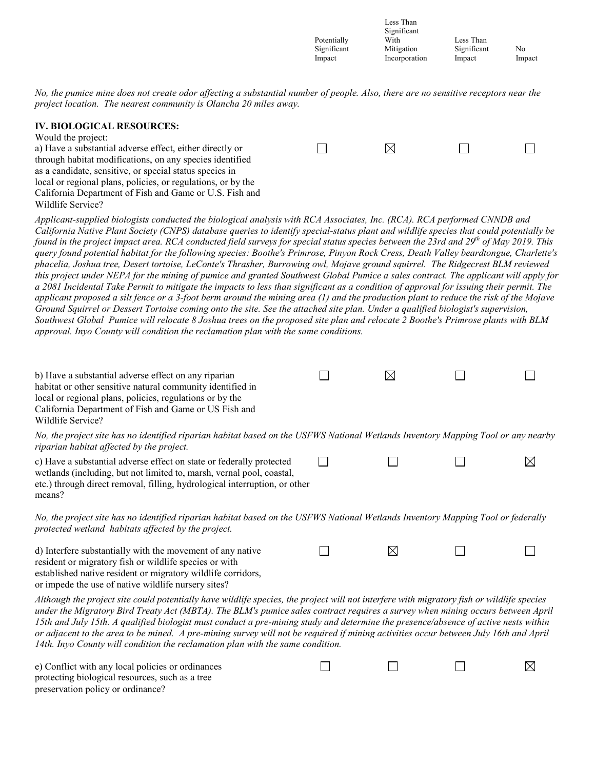|             | Less Than     |             |        |
|-------------|---------------|-------------|--------|
|             | Significant   |             |        |
| Potentially | With          | Less Than   |        |
| Significant | Mitigation    | Significant | No     |
| Impact      | Incorporation | Impact      | Impact |

 $\Box$ 

⊠

*No, the pumice mine does not create odor affecting a substantial number of people. Also, there are no sensitive receptors near the project location. The nearest community is Olancha 20 miles away.*

#### **IV. BIOLOGICAL RESOURCES:**

| Would the project:                                           |     |  |
|--------------------------------------------------------------|-----|--|
| a) Have a substantial adverse effect, either directly or     | IXI |  |
| through habitat modifications, on any species identified     |     |  |
| as a candidate, sensitive, or special status species in      |     |  |
| local or regional plans, policies, or regulations, or by the |     |  |
| California Department of Fish and Game or U.S. Fish and      |     |  |
| Wildlife Service?                                            |     |  |

*Applicant-supplied biologists conducted the biological analysis with RCA Associates, Inc. (RCA). RCA performed CNNDB and California Native Plant Society (CNPS) database queries to identify special-status plant and wildlife species that could potentially be found in the project impact area. RCA conducted field surveys for special status species between the 23rd and 29th of May 2019. This query found potential habitat for the following species: Boothe's Primrose, Pinyon Rock Cress, Death Valley beardtongue, Charlette's phacelia, Joshua tree, Desert tortoise, LeConte's Thrasher, Burrowing owl, Mojave ground squirrel. The Ridgecrest BLM reviewed this project under NEPA for the mining of pumice and granted Southwest Global Pumice a sales contract. The applicant will apply for a 2081 Incidental Take Permit to mitigate the impacts to less than significant as a condition of approval for issuing their permit. The applicant proposed a silt fence or a 3-foot berm around the mining area (1) and the production plant to reduce the risk of the Mojave Ground Squirrel or Dessert Tortoise coming onto the site. See the attached site plan. Under a qualified biologist's supervision, Southwest Global Pumice will relocate 8 Joshua trees on the proposed site plan and relocate 2 Boothe's Primrose plants with BLM approval. Inyo County will condition the reclamation plan with the same conditions.*

| b) Have a substantial adverse effect on any riparian                                                                              | IXI |  |
|-----------------------------------------------------------------------------------------------------------------------------------|-----|--|
| habitat or other sensitive natural community identified in                                                                        |     |  |
| local or regional plans, policies, regulations or by the                                                                          |     |  |
| California Department of Fish and Game or US Fish and                                                                             |     |  |
| Wildlife Service?                                                                                                                 |     |  |
| No, the project site has no identified riparian habitat based on the USFWS National Wetlands Inventory Mapping Tool or any nearby |     |  |

| riparian habitat affected by the project.                             |  |  |
|-----------------------------------------------------------------------|--|--|
| c) Have a substantial adverse effect on state or federally protected  |  |  |
| wetlands (including, but not limited to, marsh, vernal pool, coastal, |  |  |

| etc.) through direct removal, filling, hydrological interruption, or other |  |
|----------------------------------------------------------------------------|--|
| means?                                                                     |  |

*No, the project site has no identified riparian habitat based on the USFWS National Wetlands Inventory Mapping Tool or federally protected wetland habitats affected by the project.*

 $\Box$ 

 $\Box$ 

 $\boxtimes$ 

 $\Box$ 

 $\Box$ 

 $\Box$ 

d) Interfere substantially with the movement of any native resident or migratory fish or wildlife species or with established native resident or migratory wildlife corridors, or impede the use of native wildlife nursery sites?

*Although the project site could potentially have wildlife species, the project will not interfere with migratory fish or wildlife species under the Migratory Bird Treaty Act (MBTA). The BLM's pumice sales contract requires a survey when mining occurs between April 15th and July 15th. A qualified biologist must conduct a pre-mining study and determine the presence/absence of active nests within or adjacent to the area to be mined. A pre-mining survey will not be required if mining activities occur between July 16th and April 14th. Inyo County will condition the reclamation plan with the same condition.*

| e) Conflict with any local policies or ordinances |  |
|---------------------------------------------------|--|
| protecting biological resources, such as a tree   |  |
| preservation policy or ordinance?                 |  |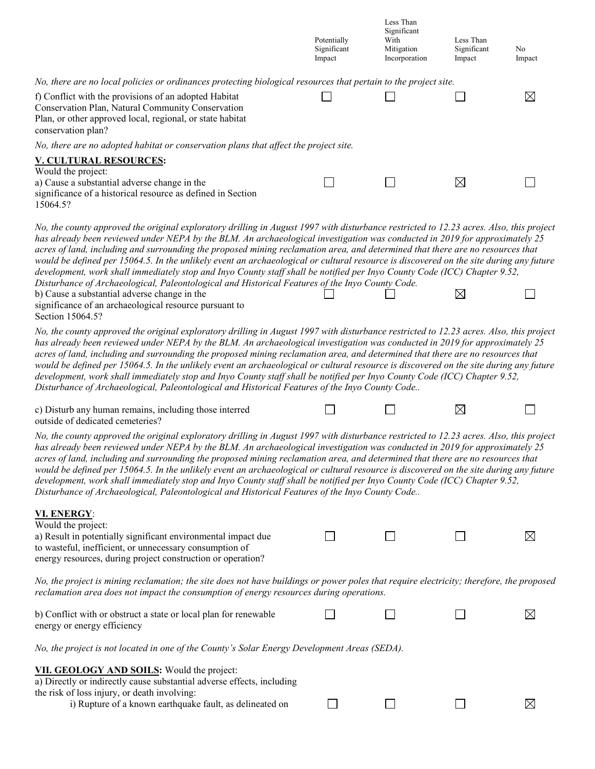|                                                                                                                                                                                                                                                                                                                                                                                                                                                                                                                                                                                                                                                                                                                                                                                                                                                                                                                  | Potentially<br>Significant<br>Impact | Less Than<br>Significant<br>With<br>Mitigation<br>Incorporation | Less Than<br>Significant<br>Impact | No<br>Impact |
|------------------------------------------------------------------------------------------------------------------------------------------------------------------------------------------------------------------------------------------------------------------------------------------------------------------------------------------------------------------------------------------------------------------------------------------------------------------------------------------------------------------------------------------------------------------------------------------------------------------------------------------------------------------------------------------------------------------------------------------------------------------------------------------------------------------------------------------------------------------------------------------------------------------|--------------------------------------|-----------------------------------------------------------------|------------------------------------|--------------|
| No, there are no local policies or ordinances protecting biological resources that pertain to the project site.                                                                                                                                                                                                                                                                                                                                                                                                                                                                                                                                                                                                                                                                                                                                                                                                  |                                      |                                                                 |                                    |              |
| f) Conflict with the provisions of an adopted Habitat<br>Conservation Plan, Natural Community Conservation<br>Plan, or other approved local, regional, or state habitat<br>conservation plan?                                                                                                                                                                                                                                                                                                                                                                                                                                                                                                                                                                                                                                                                                                                    |                                      |                                                                 |                                    | $\boxtimes$  |
| No, there are no adopted habitat or conservation plans that affect the project site.                                                                                                                                                                                                                                                                                                                                                                                                                                                                                                                                                                                                                                                                                                                                                                                                                             |                                      |                                                                 |                                    |              |
| <b>V. CULTURAL RESOURCES:</b>                                                                                                                                                                                                                                                                                                                                                                                                                                                                                                                                                                                                                                                                                                                                                                                                                                                                                    |                                      |                                                                 |                                    |              |
| Would the project:<br>a) Cause a substantial adverse change in the<br>significance of a historical resource as defined in Section<br>15064.5?                                                                                                                                                                                                                                                                                                                                                                                                                                                                                                                                                                                                                                                                                                                                                                    |                                      |                                                                 | $\boxtimes$                        |              |
| No, the county approved the original exploratory drilling in August 1997 with disturbance restricted to 12.23 acres. Also, this project<br>has already been reviewed under NEPA by the BLM. An archaeological investigation was conducted in 2019 for approximately 25<br>acres of land, including and surrounding the proposed mining reclamation area, and determined that there are no resources that<br>would be defined per 15064.5. In the unlikely event an archaeological or cultural resource is discovered on the site during any future<br>development, work shall immediately stop and Inyo County staff shall be notified per Inyo County Code (ICC) Chapter 9.52,<br>Disturbance of Archaeological, Paleontological and Historical Features of the Inyo County Code.<br>b) Cause a substantial adverse change in the<br>significance of an archaeological resource pursuant to<br>Section 15064.5? |                                      |                                                                 | $\boxtimes$                        |              |
| No, the county approved the original exploratory drilling in August 1997 with disturbance restricted to 12.23 acres. Also, this project<br>has already been reviewed under NEPA by the BLM. An archaeological investigation was conducted in 2019 for approximately 25<br>acres of land, including and surrounding the proposed mining reclamation area, and determined that there are no resources that<br>would be defined per 15064.5. In the unlikely event an archaeological or cultural resource is discovered on the site during any future<br>development, work shall immediately stop and Inyo County staff shall be notified per Inyo County Code (ICC) Chapter 9.52,<br>Disturbance of Archaeological, Paleontological and Historical Features of the Inyo County Code                                                                                                                                |                                      |                                                                 |                                    |              |
| c) Disturb any human remains, including those interred<br>outside of dedicated cemeteries?                                                                                                                                                                                                                                                                                                                                                                                                                                                                                                                                                                                                                                                                                                                                                                                                                       |                                      |                                                                 | $\boxtimes$                        |              |
| No, the county approved the original exploratory drilling in August 1997 with disturbance restricted to 12.23 acres. Also, this project<br>has already been reviewed under NEPA by the BLM. An archaeological investigation was conducted in 2019 for approximately 25<br>acres of land, including and surrounding the proposed mining reclamation area, and determined that there are no resources that<br>would be defined per 15064.5. In the unlikely event an archaeological or cultural resource is discovered on the site during any future<br>development, work shall immediately stop and Inyo County staff shall be notified per Inyo County Code (ICC) Chapter 9.52,<br>Disturbance of Archaeological, Paleontological and Historical Features of the Inyo County Code                                                                                                                                |                                      |                                                                 |                                    |              |
| VI. ENERGY:<br>Would the project:<br>a) Result in potentially significant environmental impact due<br>to wasteful, inefficient, or unnecessary consumption of<br>energy resources, during project construction or operation?                                                                                                                                                                                                                                                                                                                                                                                                                                                                                                                                                                                                                                                                                     |                                      |                                                                 |                                    | $\boxtimes$  |
| No, the project is mining reclamation; the site does not have buildings or power poles that require electricity; therefore, the proposed<br>reclamation area does not impact the consumption of energy resources during operations.                                                                                                                                                                                                                                                                                                                                                                                                                                                                                                                                                                                                                                                                              |                                      |                                                                 |                                    |              |
| b) Conflict with or obstruct a state or local plan for renewable<br>energy or energy efficiency                                                                                                                                                                                                                                                                                                                                                                                                                                                                                                                                                                                                                                                                                                                                                                                                                  |                                      |                                                                 |                                    | ⊠            |
| No, the project is not located in one of the County's Solar Energy Development Areas (SEDA).                                                                                                                                                                                                                                                                                                                                                                                                                                                                                                                                                                                                                                                                                                                                                                                                                     |                                      |                                                                 |                                    |              |
| VII. GEOLOGY AND SOILS: Would the project:<br>a) Directly or indirectly cause substantial adverse effects, including<br>the risk of loss injury, or death involving:<br>i) Rupture of a known earthquake fault, as delineated on                                                                                                                                                                                                                                                                                                                                                                                                                                                                                                                                                                                                                                                                                 |                                      |                                                                 |                                    | $\boxtimes$  |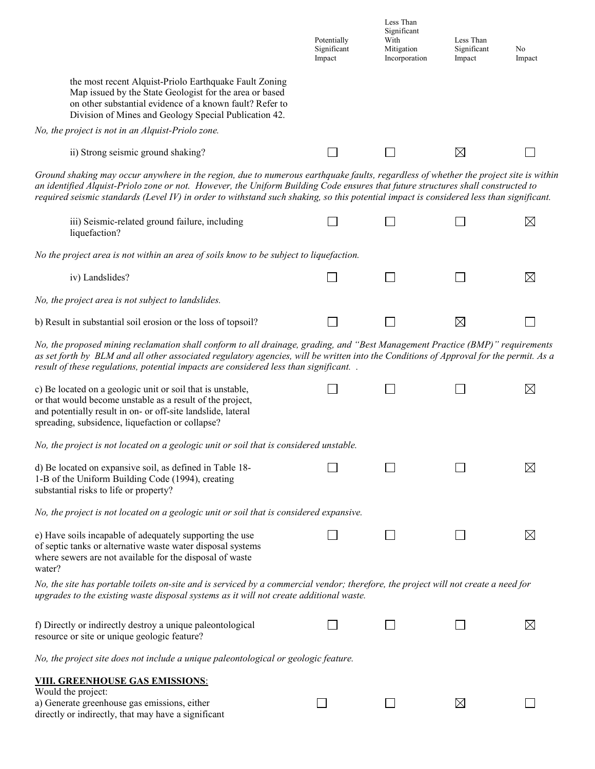|                                                                                                                                                                                                                                                                                                                                                                                                                     | Potentially<br>Significant<br>Impact | Less Than<br>Significant<br>With<br>Mitigation<br>Incorporation | Less Than<br>Significant<br>Impact | No<br>Impact |  |
|---------------------------------------------------------------------------------------------------------------------------------------------------------------------------------------------------------------------------------------------------------------------------------------------------------------------------------------------------------------------------------------------------------------------|--------------------------------------|-----------------------------------------------------------------|------------------------------------|--------------|--|
| the most recent Alquist-Priolo Earthquake Fault Zoning<br>Map issued by the State Geologist for the area or based<br>on other substantial evidence of a known fault? Refer to<br>Division of Mines and Geology Special Publication 42.                                                                                                                                                                              |                                      |                                                                 |                                    |              |  |
| No, the project is not in an Alquist-Priolo zone.                                                                                                                                                                                                                                                                                                                                                                   |                                      |                                                                 |                                    |              |  |
| ii) Strong seismic ground shaking?                                                                                                                                                                                                                                                                                                                                                                                  |                                      |                                                                 | $\boxtimes$                        |              |  |
| Ground shaking may occur anywhere in the region, due to numerous earthquake faults, regardless of whether the project site is within<br>an identified Alquist-Priolo zone or not. However, the Uniform Building Code ensures that future structures shall constructed to<br>required seismic standards (Level IV) in order to withstand such shaking, so this potential impact is considered less than significant. |                                      |                                                                 |                                    |              |  |
| iii) Seismic-related ground failure, including<br>liquefaction?                                                                                                                                                                                                                                                                                                                                                     |                                      |                                                                 |                                    | $\boxtimes$  |  |
| No the project area is not within an area of soils know to be subject to liquefaction.                                                                                                                                                                                                                                                                                                                              |                                      |                                                                 |                                    |              |  |
| iv) Landslides?                                                                                                                                                                                                                                                                                                                                                                                                     |                                      |                                                                 |                                    | $\boxtimes$  |  |
| No, the project area is not subject to landslides.                                                                                                                                                                                                                                                                                                                                                                  |                                      |                                                                 |                                    |              |  |
| b) Result in substantial soil erosion or the loss of topsoil?                                                                                                                                                                                                                                                                                                                                                       |                                      |                                                                 | $\boxtimes$                        |              |  |
| No, the proposed mining reclamation shall conform to all drainage, grading, and "Best Management Practice (BMP)" requirements<br>as set forth by BLM and all other associated regulatory agencies, will be written into the Conditions of Approval for the permit. As a<br>result of these regulations, potential impacts are considered less than significant. .                                                   |                                      |                                                                 |                                    |              |  |
| c) Be located on a geologic unit or soil that is unstable,<br>or that would become unstable as a result of the project,<br>and potentially result in on- or off-site landslide, lateral<br>spreading, subsidence, liquefaction or collapse?                                                                                                                                                                         |                                      |                                                                 |                                    | $\boxtimes$  |  |
| No, the project is not located on a geologic unit or soil that is considered unstable.                                                                                                                                                                                                                                                                                                                              |                                      |                                                                 |                                    |              |  |
| d) Be located on expansive soil, as defined in Table 18-<br>1-B of the Uniform Building Code (1994), creating<br>substantial risks to life or property?                                                                                                                                                                                                                                                             |                                      |                                                                 |                                    | $\bowtie$    |  |
| No, the project is not located on a geologic unit or soil that is considered expansive.                                                                                                                                                                                                                                                                                                                             |                                      |                                                                 |                                    |              |  |
| e) Have soils incapable of adequately supporting the use<br>of septic tanks or alternative waste water disposal systems<br>where sewers are not available for the disposal of waste<br>water?                                                                                                                                                                                                                       |                                      |                                                                 |                                    | $\boxtimes$  |  |
| No, the site has portable toilets on-site and is serviced by a commercial vendor; therefore, the project will not create a need for<br>upgrades to the existing waste disposal systems as it will not create additional waste.                                                                                                                                                                                      |                                      |                                                                 |                                    |              |  |
| f) Directly or indirectly destroy a unique paleontological<br>resource or site or unique geologic feature?                                                                                                                                                                                                                                                                                                          |                                      |                                                                 |                                    | $\boxtimes$  |  |
| No, the project site does not include a unique paleontological or geologic feature.                                                                                                                                                                                                                                                                                                                                 |                                      |                                                                 |                                    |              |  |
| <b>VIII. GREENHOUSE GAS EMISSIONS:</b>                                                                                                                                                                                                                                                                                                                                                                              |                                      |                                                                 |                                    |              |  |
| Would the project:<br>a) Generate greenhouse gas emissions, either<br>directly or indirectly, that may have a significant                                                                                                                                                                                                                                                                                           |                                      |                                                                 | $\boxtimes$                        |              |  |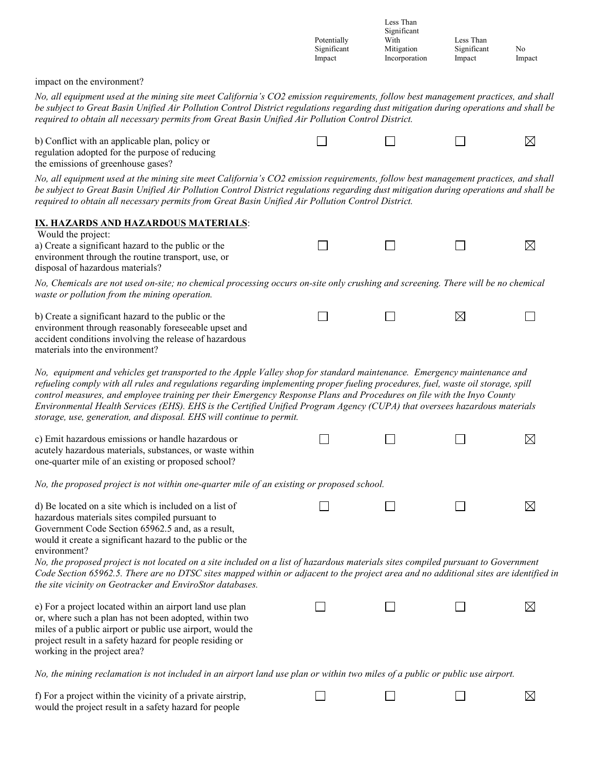Less Than Significant Potentially With Less Than<br>
Significant Mitigation Significant Significant No<br>Impact Impact Impact Incorporation Impact Impact

impact on the environment?

*No, all equipment used at the mining site meet California's CO2 emission requirements, follow best management practices, and shall be subject to Great Basin Unified Air Pollution Control District regulations regarding dust mitigation during operations and shall be required to obtain all necessary permits from Great Basin Unified Air Pollution Control District.*

| b) Conflict with an applicable plan, policy or |  |  |
|------------------------------------------------|--|--|
| regulation adopted for the purpose of reducing |  |  |

the emissions of greenhouse gases?

*No, all equipment used at the mining site meet California's CO2 emission requirements, follow best management practices, and shall be subject to Great Basin Unified Air Pollution Control District regulations regarding dust mitigation during operations and shall be required to obtain all necessary permits from Great Basin Unified Air Pollution Control District.*

| IX. HAZARDS AND HAZARDOUS MATERIALS:                                                                                                                                                                                                                                                                                                                                                                                                                                                                                                                                                       |  |             |             |
|--------------------------------------------------------------------------------------------------------------------------------------------------------------------------------------------------------------------------------------------------------------------------------------------------------------------------------------------------------------------------------------------------------------------------------------------------------------------------------------------------------------------------------------------------------------------------------------------|--|-------------|-------------|
| Would the project:<br>a) Create a significant hazard to the public or the<br>environment through the routine transport, use, or<br>disposal of hazardous materials?                                                                                                                                                                                                                                                                                                                                                                                                                        |  |             | ⊠           |
| No, Chemicals are not used on-site; no chemical processing occurs on-site only crushing and screening. There will be no chemical<br>waste or pollution from the mining operation.                                                                                                                                                                                                                                                                                                                                                                                                          |  |             |             |
| b) Create a significant hazard to the public or the<br>environment through reasonably foreseeable upset and<br>accident conditions involving the release of hazardous<br>materials into the environment?                                                                                                                                                                                                                                                                                                                                                                                   |  | $\boxtimes$ |             |
| No, equipment and vehicles get transported to the Apple Valley shop for standard maintenance. Emergency maintenance and<br>refueling comply with all rules and regulations regarding implementing proper fueling procedures, fuel, waste oil storage, spill<br>control measures, and employee training per their Emergency Response Plans and Procedures on file with the Inyo County<br>Environmental Health Services (EHS). EHS is the Certified Unified Program Agency (CUPA) that oversees hazardous materials<br>storage, use, generation, and disposal. EHS will continue to permit. |  |             |             |
| c) Emit hazardous emissions or handle hazardous or<br>acutely hazardous materials, substances, or waste within<br>one-quarter mile of an existing or proposed school?                                                                                                                                                                                                                                                                                                                                                                                                                      |  |             | $\boxtimes$ |
| No, the proposed project is not within one-quarter mile of an existing or proposed school.                                                                                                                                                                                                                                                                                                                                                                                                                                                                                                 |  |             |             |
| d) Be located on a site which is included on a list of<br>hazardous materials sites compiled pursuant to<br>Government Code Section 65962.5 and, as a result,<br>would it create a significant hazard to the public or the<br>environment?                                                                                                                                                                                                                                                                                                                                                 |  |             | ⊠           |
| No, the proposed project is not located on a site included on a list of hazardous materials sites compiled pursuant to Government<br>Code Section 65962.5. There are no DTSC sites mapped within or adjacent to the project area and no additional sites are identified in<br>the site vicinity on Geotracker and EnviroStor databases.                                                                                                                                                                                                                                                    |  |             |             |
| e) For a project located within an airport land use plan<br>or, where such a plan has not been adopted, within two<br>miles of a public airport or public use airport, would the<br>project result in a safety hazard for people residing or<br>working in the project area?                                                                                                                                                                                                                                                                                                               |  |             | ⊠           |
| No, the mining reclamation is not included in an airport land use plan or within two miles of a public or public use airport.                                                                                                                                                                                                                                                                                                                                                                                                                                                              |  |             |             |
| f) For a project within the vicinity of a private airstrip,                                                                                                                                                                                                                                                                                                                                                                                                                                                                                                                                |  |             | $\boxtimes$ |

f) For a project within the vicinity of a private airstrip, ப ப would the project result in a safety hazard for people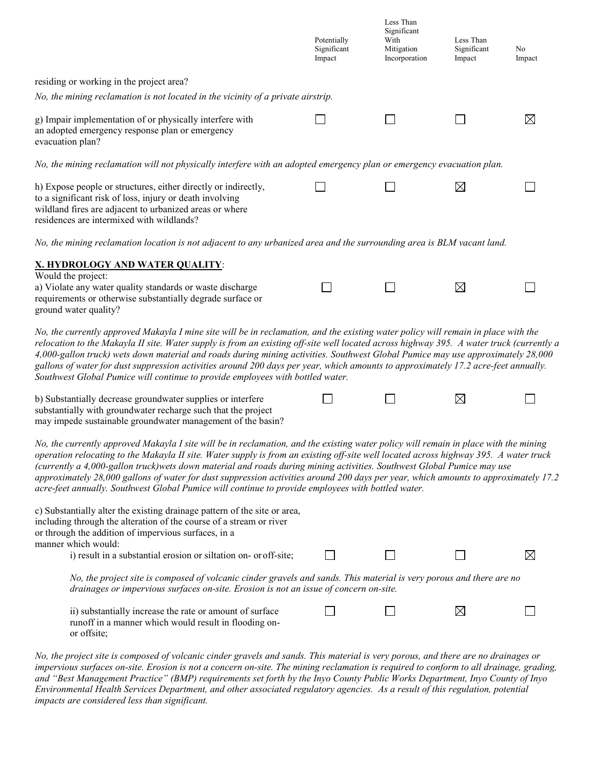|                                                                                                                                                                                                                                                                                                                                                                                                                                                                                                                                                                                                                                                      | Potentially<br>Significant<br>Impact | Less Than<br>Significant<br>With<br>Mitigation<br>Incorporation | Less Than<br>Significant<br>Impact | No<br>Impact |
|------------------------------------------------------------------------------------------------------------------------------------------------------------------------------------------------------------------------------------------------------------------------------------------------------------------------------------------------------------------------------------------------------------------------------------------------------------------------------------------------------------------------------------------------------------------------------------------------------------------------------------------------------|--------------------------------------|-----------------------------------------------------------------|------------------------------------|--------------|
| residing or working in the project area?                                                                                                                                                                                                                                                                                                                                                                                                                                                                                                                                                                                                             |                                      |                                                                 |                                    |              |
| No, the mining reclamation is not located in the vicinity of a private airstrip.                                                                                                                                                                                                                                                                                                                                                                                                                                                                                                                                                                     |                                      |                                                                 |                                    |              |
| g) Impair implementation of or physically interfere with<br>an adopted emergency response plan or emergency<br>evacuation plan?                                                                                                                                                                                                                                                                                                                                                                                                                                                                                                                      |                                      |                                                                 |                                    | M            |
| No, the mining reclamation will not physically interfere with an adopted emergency plan or emergency evacuation plan.                                                                                                                                                                                                                                                                                                                                                                                                                                                                                                                                |                                      |                                                                 |                                    |              |
| h) Expose people or structures, either directly or indirectly,<br>to a significant risk of loss, injury or death involving<br>wildland fires are adjacent to urbanized areas or where<br>residences are intermixed with wildlands?                                                                                                                                                                                                                                                                                                                                                                                                                   |                                      |                                                                 | $\boxtimes$                        |              |
| No, the mining reclamation location is not adjacent to any urbanized area and the surrounding area is BLM vacant land.                                                                                                                                                                                                                                                                                                                                                                                                                                                                                                                               |                                      |                                                                 |                                    |              |
| <b>X. HYDROLOGY AND WATER QUALITY:</b>                                                                                                                                                                                                                                                                                                                                                                                                                                                                                                                                                                                                               |                                      |                                                                 |                                    |              |
| Would the project:<br>a) Violate any water quality standards or waste discharge<br>requirements or otherwise substantially degrade surface or<br>ground water quality?                                                                                                                                                                                                                                                                                                                                                                                                                                                                               |                                      |                                                                 | $\boxtimes$                        |              |
| No, the currently approved Makayla I mine site will be in reclamation, and the existing water policy will remain in place with the<br>relocation to the Makayla II site. Water supply is from an existing off-site well located across highway 395. A water truck (currently a<br>4,000-gallon truck) wets down material and roads during mining activities. Southwest Global Pumice may use approximately 28,000<br>gallons of water for dust suppression activities around 200 days per year, which amounts to approximately 17.2 acre-feet annually.<br>Southwest Global Pumice will continue to provide employees with bottled water.            |                                      |                                                                 |                                    |              |
| b) Substantially decrease groundwater supplies or interfere<br>substantially with groundwater recharge such that the project<br>may impede sustainable groundwater management of the basin?                                                                                                                                                                                                                                                                                                                                                                                                                                                          |                                      |                                                                 | $\boxtimes$                        |              |
| No, the currently approved Makayla I site will be in reclamation, and the existing water policy will remain in place with the mining<br>operation relocating to the Makayla II site. Water supply is from an existing off-site well located across highway 395. A water truck<br>(currently a 4,000-gallon truck)wets down material and roads during mining activities. Southwest Global Pumice may use<br>approximately 28,000 gallons of water for dust suppression activities around 200 days per year, which amounts to approximately 17.2<br>acre-feet annually. Southwest Global Pumice will continue to provide employees with bottled water. |                                      |                                                                 |                                    |              |
| c) Substantially alter the existing drainage pattern of the site or area,<br>including through the alteration of the course of a stream or river<br>or through the addition of impervious surfaces, in a<br>manner which would:                                                                                                                                                                                                                                                                                                                                                                                                                      |                                      |                                                                 |                                    |              |
| i) result in a substantial erosion or siltation on- or off-site;                                                                                                                                                                                                                                                                                                                                                                                                                                                                                                                                                                                     |                                      |                                                                 |                                    | $\times$     |
| No, the project site is composed of volcanic cinder gravels and sands. This material is very porous and there are no<br>drainages or impervious surfaces on-site. Erosion is not an issue of concern on-site.                                                                                                                                                                                                                                                                                                                                                                                                                                        |                                      |                                                                 |                                    |              |
| ii) substantially increase the rate or amount of surface<br>runoff in a manner which would result in flooding on-<br>or offsite;                                                                                                                                                                                                                                                                                                                                                                                                                                                                                                                     |                                      |                                                                 | $\boxtimes$                        |              |
|                                                                                                                                                                                                                                                                                                                                                                                                                                                                                                                                                                                                                                                      |                                      |                                                                 |                                    |              |

*No, the project site is composed of volcanic cinder gravels and sands. This material is very porous, and there are no drainages or impervious surfaces on-site. Erosion is not a concern on-site. The mining reclamation is required to conform to all drainage, grading, and "Best Management Practice" (BMP) requirements set forth by the Inyo County Public Works Department, Inyo County of Inyo Environmental Health Services Department, and other associated regulatory agencies. As a result of this regulation, potential impacts are considered less than significant.*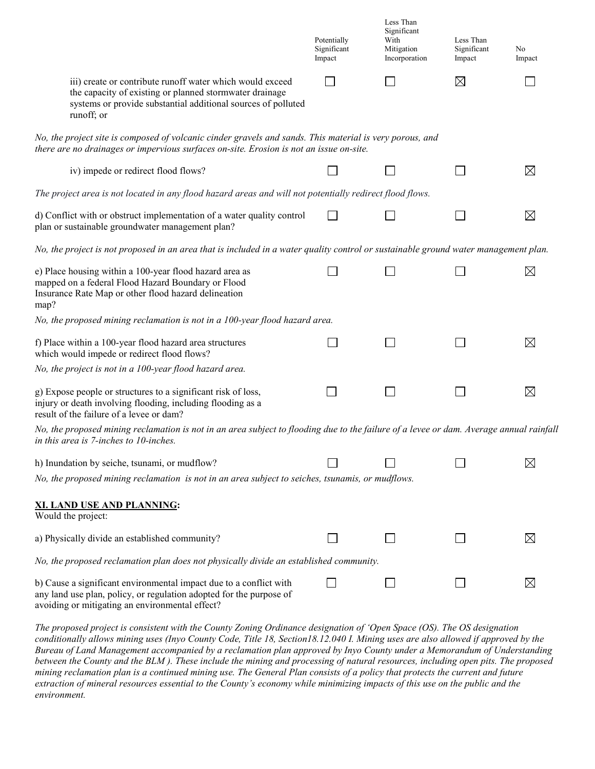|                    |                                                                                                                                                                                                     | Potentially<br>Significant<br>Impact | Less Than<br>Significant<br>With<br>Mitigation<br>Incorporation | Less Than<br>Significant<br>Impact | No<br>Impact |
|--------------------|-----------------------------------------------------------------------------------------------------------------------------------------------------------------------------------------------------|--------------------------------------|-----------------------------------------------------------------|------------------------------------|--------------|
|                    | iii) create or contribute runoff water which would exceed<br>the capacity of existing or planned stormwater drainage<br>systems or provide substantial additional sources of polluted<br>runoff; or |                                      |                                                                 | ⊠                                  |              |
|                    | No, the project site is composed of volcanic cinder gravels and sands. This material is very porous, and<br>there are no drainages or impervious surfaces on-site. Erosion is not an issue on-site. |                                      |                                                                 |                                    |              |
|                    | iv) impede or redirect flood flows?                                                                                                                                                                 |                                      |                                                                 |                                    | ⊠            |
|                    | The project area is not located in any flood hazard areas and will not potentially redirect flood flows.                                                                                            |                                      |                                                                 |                                    |              |
|                    | d) Conflict with or obstruct implementation of a water quality control<br>plan or sustainable groundwater management plan?                                                                          |                                      |                                                                 |                                    | $\boxtimes$  |
|                    | No, the project is not proposed in an area that is included in a water quality control or sustainable ground water management plan.                                                                 |                                      |                                                                 |                                    |              |
| map?               | e) Place housing within a 100-year flood hazard area as<br>mapped on a federal Flood Hazard Boundary or Flood<br>Insurance Rate Map or other flood hazard delineation                               |                                      |                                                                 |                                    | ⊠            |
|                    | No, the proposed mining reclamation is not in a 100-year flood hazard area.                                                                                                                         |                                      |                                                                 |                                    |              |
|                    | f) Place within a 100-year flood hazard area structures<br>which would impede or redirect flood flows?                                                                                              |                                      |                                                                 |                                    | $\boxtimes$  |
|                    | No, the project is not in a 100-year flood hazard area.                                                                                                                                             |                                      |                                                                 |                                    |              |
|                    | g) Expose people or structures to a significant risk of loss,<br>injury or death involving flooding, including flooding as a<br>result of the failure of a levee or dam?                            |                                      |                                                                 |                                    | $\boxtimes$  |
|                    | No, the proposed mining reclamation is not in an area subject to flooding due to the failure of a levee or dam. Average annual rainfall<br>in this area is 7-inches to 10-inches.                   |                                      |                                                                 |                                    |              |
|                    | h) Inundation by seiche, tsunami, or mudflow?<br>No, the proposed mining reclamation is not in an area subject to seiches, tsunamis, or mudflows.                                                   |                                      |                                                                 |                                    | $\boxtimes$  |
| Would the project: | <b>XI. LAND USE AND PLANNING:</b>                                                                                                                                                                   |                                      |                                                                 |                                    |              |
|                    | a) Physically divide an established community?                                                                                                                                                      |                                      |                                                                 |                                    | ⊠            |
|                    | No, the proposed reclamation plan does not physically divide an established community.                                                                                                              |                                      |                                                                 |                                    |              |
|                    | b) Cause a significant environmental impact due to a conflict with<br>any land use plan, policy, or regulation adopted for the purpose of<br>avoiding or mitigating an environmental effect?        |                                      |                                                                 |                                    | $\boxtimes$  |
|                    |                                                                                                                                                                                                     |                                      |                                                                 |                                    |              |

*The proposed project is consistent with the County Zoning Ordinance designation of 'Open Space (OS). The OS designation conditionally allows mining uses (Inyo County Code, Title 18, Section18.12.040 I. Mining uses are also allowed if approved by the Bureau of Land Management accompanied by a reclamation plan approved by Inyo County under a Memorandum of Understanding between the County and the BLM ). These include the mining and processing of natural resources, including open pits. The proposed mining reclamation plan is a continued mining use. The General Plan consists of a policy that protects the current and future extraction of mineral resources essential to the County's economy while minimizing impacts of this use on the public and the environment.*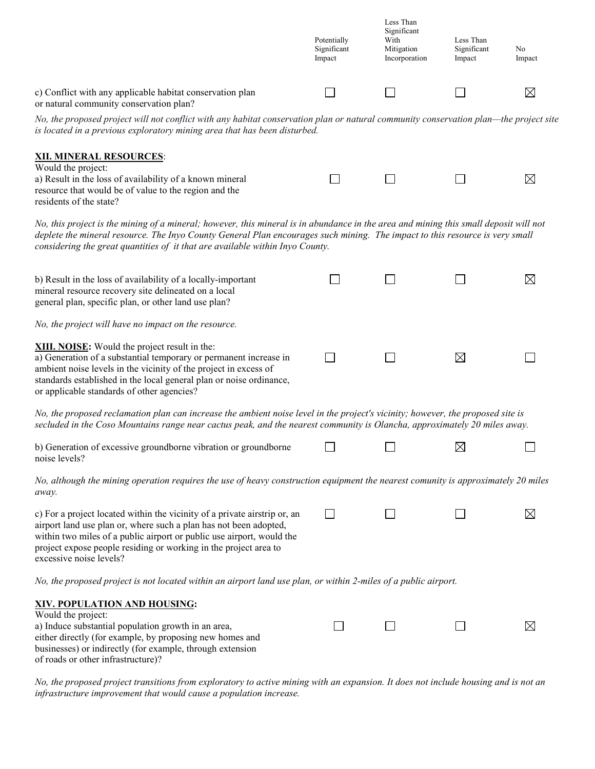|                                                                                                                                                                                                                                                                                                                                                        | Potentially<br>Significant<br>Impact | Less Than<br>Significant<br>With<br>Mitigation<br>Incorporation | Less Than<br>Significant<br>Impact | No<br>Impact |
|--------------------------------------------------------------------------------------------------------------------------------------------------------------------------------------------------------------------------------------------------------------------------------------------------------------------------------------------------------|--------------------------------------|-----------------------------------------------------------------|------------------------------------|--------------|
| c) Conflict with any applicable habitat conservation plan<br>or natural community conservation plan?                                                                                                                                                                                                                                                   |                                      |                                                                 |                                    | $\boxtimes$  |
| No, the proposed project will not conflict with any habitat conservation plan or natural community conservation plan—the project site<br>is located in a previous exploratory mining area that has been disturbed.                                                                                                                                     |                                      |                                                                 |                                    |              |
| <b>XII. MINERAL RESOURCES:</b><br>Would the project:<br>a) Result in the loss of availability of a known mineral<br>resource that would be of value to the region and the<br>residents of the state?                                                                                                                                                   |                                      |                                                                 |                                    | $\boxtimes$  |
| No, this project is the mining of a mineral; however, this mineral is in abundance in the area and mining this small deposit will not<br>deplete the mineral resource. The Inyo County General Plan encourages such mining. The impact to this resource is very small<br>considering the great quantities of it that are available within Inyo County. |                                      |                                                                 |                                    |              |
| b) Result in the loss of availability of a locally-important<br>mineral resource recovery site delineated on a local<br>general plan, specific plan, or other land use plan?                                                                                                                                                                           |                                      |                                                                 |                                    | $\boxtimes$  |
| No, the project will have no impact on the resource.                                                                                                                                                                                                                                                                                                   |                                      |                                                                 |                                    |              |
| XIII. NOISE: Would the project result in the:<br>a) Generation of a substantial temporary or permanent increase in<br>ambient noise levels in the vicinity of the project in excess of<br>standards established in the local general plan or noise ordinance,<br>or applicable standards of other agencies?                                            |                                      |                                                                 | ⊠                                  |              |
| No, the proposed reclamation plan can increase the ambient noise level in the project's vicinity; however, the proposed site is<br>secluded in the Coso Mountains range near cactus peak, and the nearest community is Olancha, approximately 20 miles away.                                                                                           |                                      |                                                                 |                                    |              |
| b) Generation of excessive groundborne vibration or groundborne<br>noise levels?                                                                                                                                                                                                                                                                       |                                      |                                                                 | $\boxtimes$                        |              |
| No, although the mining operation requires the use of heavy construction equipment the nearest comunity is approximately 20 miles<br>away.                                                                                                                                                                                                             |                                      |                                                                 |                                    |              |
| c) For a project located within the vicinity of a private airstrip or, an<br>airport land use plan or, where such a plan has not been adopted,<br>within two miles of a public airport or public use airport, would the<br>project expose people residing or working in the project area to<br>excessive noise levels?                                 |                                      |                                                                 |                                    | $\boxtimes$  |
| No, the proposed project is not located within an airport land use plan, or within 2-miles of a public airport.                                                                                                                                                                                                                                        |                                      |                                                                 |                                    |              |
| XIV. POPULATION AND HOUSING:<br>Would the project:<br>a) Induce substantial population growth in an area,<br>either directly (for example, by proposing new homes and<br>businesses) or indirectly (for example, through extension<br>of roads or other infrastructure)?                                                                               |                                      |                                                                 |                                    | $\boxtimes$  |

*No, the proposed project transitions from exploratory to active mining with an expansion. It does not include housing and is not an infrastructure improvement that would cause a population increase.*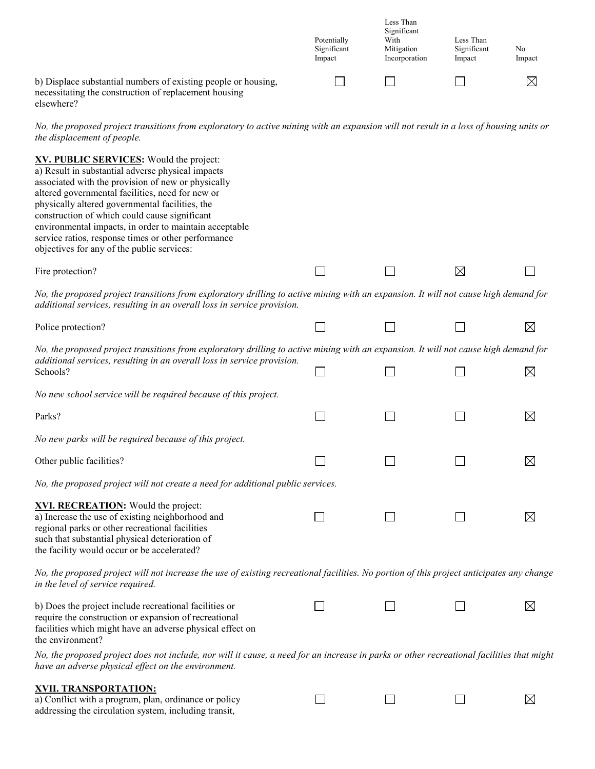|                                                                                                                         | Potentially<br>Significant<br>Impact | Less Than<br>Significant<br>With<br>Mitigation<br>Incorporation | Less Than<br>Significant<br>Impact | No<br>Impact |
|-------------------------------------------------------------------------------------------------------------------------|--------------------------------------|-----------------------------------------------------------------|------------------------------------|--------------|
| b) Displace substantial numbers of existing people or housing,<br>necessitating the construction of replacement housing |                                      |                                                                 |                                    | $\boxtimes$  |

elsewhere?

*No, the proposed project transitions from exploratory to active mining with an expansion will not result in a loss of housing units or the displacement of people.*

| XV. PUBLIC SERVICES: Would the project:<br>a) Result in substantial adverse physical impacts<br>associated with the provision of new or physically<br>altered governmental facilities, need for new or<br>physically altered governmental facilities, the<br>construction of which could cause significant<br>environmental impacts, in order to maintain acceptable<br>service ratios, response times or other performance<br>objectives for any of the public services: |  |   |             |
|---------------------------------------------------------------------------------------------------------------------------------------------------------------------------------------------------------------------------------------------------------------------------------------------------------------------------------------------------------------------------------------------------------------------------------------------------------------------------|--|---|-------------|
| Fire protection?                                                                                                                                                                                                                                                                                                                                                                                                                                                          |  | ⊠ |             |
| No, the proposed project transitions from exploratory drilling to active mining with an expansion. It will not cause high demand for<br>additional services, resulting in an overall loss in service provision.                                                                                                                                                                                                                                                           |  |   |             |
| Police protection?                                                                                                                                                                                                                                                                                                                                                                                                                                                        |  |   | $\boxtimes$ |
| No, the proposed project transitions from exploratory drilling to active mining with an expansion. It will not cause high demand for                                                                                                                                                                                                                                                                                                                                      |  |   |             |
| additional services, resulting in an overall loss in service provision.<br>Schools?                                                                                                                                                                                                                                                                                                                                                                                       |  |   | $\boxtimes$ |
| No new school service will be required because of this project.                                                                                                                                                                                                                                                                                                                                                                                                           |  |   |             |
| Parks?                                                                                                                                                                                                                                                                                                                                                                                                                                                                    |  |   | $\boxtimes$ |
| No new parks will be required because of this project.                                                                                                                                                                                                                                                                                                                                                                                                                    |  |   |             |
| Other public facilities?                                                                                                                                                                                                                                                                                                                                                                                                                                                  |  |   | $\boxtimes$ |
| No, the proposed project will not create a need for additional public services.                                                                                                                                                                                                                                                                                                                                                                                           |  |   |             |
| XVI. RECREATION: Would the project:<br>a) Increase the use of existing neighborhood and<br>regional parks or other recreational facilities<br>such that substantial physical deterioration of<br>the facility would occur or be accelerated?                                                                                                                                                                                                                              |  |   | $\boxtimes$ |
| No, the proposed project will not increase the use of existing recreational facilities. No portion of this project anticipates any change<br>in the level of service required.                                                                                                                                                                                                                                                                                            |  |   |             |
| b) Does the project include recreational facilities or<br>require the construction or expansion of recreational<br>facilities which might have an adverse physical effect on<br>the environment?                                                                                                                                                                                                                                                                          |  |   | $\bowtie$   |
| No, the proposed project does not include, nor will it cause, a need for an increase in parks or other recreational facilities that might<br>have an adverse physical effect on the environment.                                                                                                                                                                                                                                                                          |  |   |             |
| XVII. TRANSPORTATION:<br>a) Conflict with a program, plan, ordinance or policy                                                                                                                                                                                                                                                                                                                                                                                            |  |   | $\boxtimes$ |

a) Conflict with a program, plan, ordinance or policy addressing the circulation system, including transit,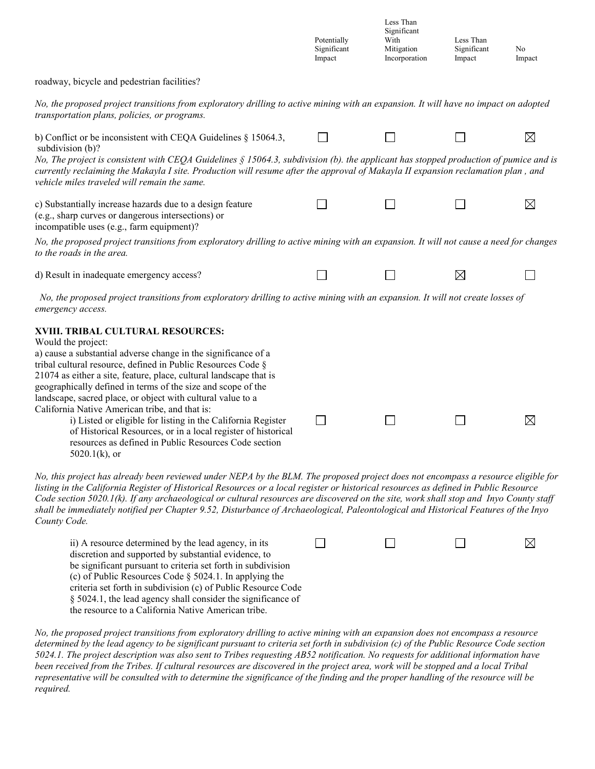|                                                                                                                                                                                                                                                                                                                                                                                                                                                                                                                                                                                                                                                                | Potentially<br>Significant<br>Impact | Less Than<br>Significant<br>With<br>Mitigation<br>Incorporation | Less Than<br>Significant<br>Impact | No<br>Impact |
|----------------------------------------------------------------------------------------------------------------------------------------------------------------------------------------------------------------------------------------------------------------------------------------------------------------------------------------------------------------------------------------------------------------------------------------------------------------------------------------------------------------------------------------------------------------------------------------------------------------------------------------------------------------|--------------------------------------|-----------------------------------------------------------------|------------------------------------|--------------|
| roadway, bicycle and pedestrian facilities?                                                                                                                                                                                                                                                                                                                                                                                                                                                                                                                                                                                                                    |                                      |                                                                 |                                    |              |
| No, the proposed project transitions from exploratory drilling to active mining with an expansion. It will have no impact on adopted<br>transportation plans, policies, or programs.                                                                                                                                                                                                                                                                                                                                                                                                                                                                           |                                      |                                                                 |                                    |              |
| b) Conflict or be inconsistent with CEQA Guidelines $\S$ 15064.3,<br>subdivision (b)?                                                                                                                                                                                                                                                                                                                                                                                                                                                                                                                                                                          |                                      |                                                                 |                                    | $\boxtimes$  |
| No, The project is consistent with CEQA Guidelines § 15064.3, subdivision (b). the applicant has stopped production of pumice and is<br>currently reclaiming the Makayla I site. Production will resume after the approval of Makayla II expansion reclamation plan, and<br>vehicle miles traveled will remain the same.                                                                                                                                                                                                                                                                                                                                       |                                      |                                                                 |                                    |              |
| c) Substantially increase hazards due to a design feature<br>(e.g., sharp curves or dangerous intersections) or<br>incompatible uses (e.g., farm equipment)?                                                                                                                                                                                                                                                                                                                                                                                                                                                                                                   |                                      |                                                                 |                                    | ⊠            |
| No, the proposed project transitions from exploratory drilling to active mining with an expansion. It will not cause a need for changes<br>to the roads in the area.                                                                                                                                                                                                                                                                                                                                                                                                                                                                                           |                                      |                                                                 |                                    |              |
| d) Result in inadequate emergency access?                                                                                                                                                                                                                                                                                                                                                                                                                                                                                                                                                                                                                      |                                      |                                                                 | $\boxtimes$                        |              |
| No, the proposed project transitions from exploratory drilling to active mining with an expansion. It will not create losses of<br>emergency access.                                                                                                                                                                                                                                                                                                                                                                                                                                                                                                           |                                      |                                                                 |                                    |              |
| XVIII. TRIBAL CULTURAL RESOURCES:<br>Would the project:<br>a) cause a substantial adverse change in the significance of a<br>tribal cultural resource, defined in Public Resources Code §<br>21074 as either a site, feature, place, cultural landscape that is<br>geographically defined in terms of the size and scope of the<br>landscape, sacred place, or object with cultural value to a<br>California Native American tribe, and that is:<br>i) Listed or eligible for listing in the California Register<br>of Historical Resources, or in a local register of historical<br>resources as defined in Public Resources Code section<br>$5020.1(k)$ , or |                                      |                                                                 |                                    | ⊠            |
| No, this project has already been reviewed under NEPA by the BLM. The proposed project does not encompass a resource eligible for<br>listing in the California Register of Historical Resources or a local register or historical resources as defined in Public Resource                                                                                                                                                                                                                                                                                                                                                                                      |                                      |                                                                 |                                    |              |

*listing in the California Register of Historical Resources or a local register or historical resources as defined in Public Resource Code section 5020.1(k). If any archaeological or cultural resources are discovered on the site, work shall stop and Inyo County staff shall be immediately notified per Chapter 9.52, Disturbance of Archaeological, Paleontological and Historical Features of the Inyo County Code.* 

| ii) A resource determined by the lead agency, in its          |  |  |
|---------------------------------------------------------------|--|--|
| discretion and supported by substantial evidence, to          |  |  |
| be significant pursuant to criteria set forth in subdivision  |  |  |
| (c) of Public Resources Code $\S$ 5024.1. In applying the     |  |  |
| criteria set forth in subdivision (c) of Public Resource Code |  |  |
| § 5024.1, the lead agency shall consider the significance of  |  |  |
| the resource to a California Native American tribe.           |  |  |

*No, the proposed project transitions from exploratory drilling to active mining with an expansion does not encompass a resource determined by the lead agency to be significant pursuant to criteria set forth in subdivision (c) of the Public Resource Code section 5024.1. The project description was also sent to Tribes requesting AB52 notification. No requests for additional information have been received from the Tribes. If cultural resources are discovered in the project area, work will be stopped and a local Tribal representative will be consulted with to determine the significance of the finding and the proper handling of the resource will be required.*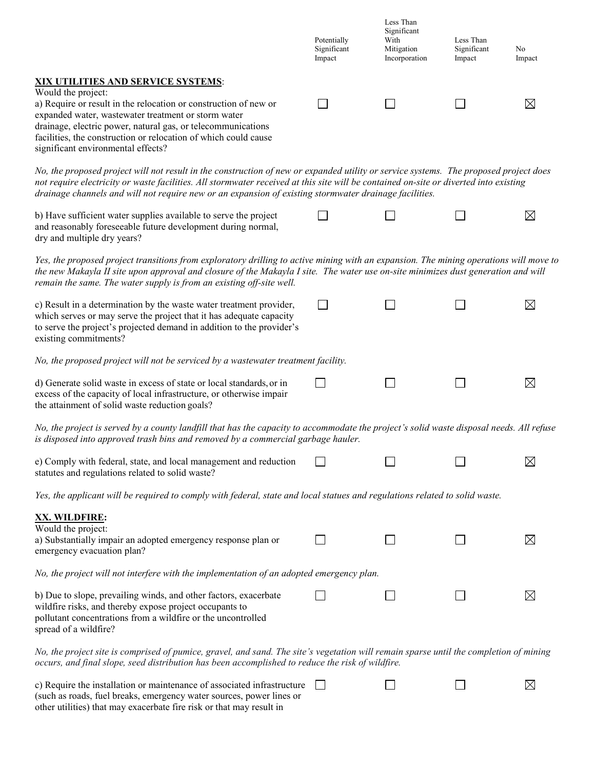|                                                                                                                                                                                                                                                                                                                                                                                          | Potentially<br>Significant<br>Impact | Less Than<br>Significant<br>With<br>Mitigation<br>Incorporation | Less Than<br>Significant<br>Impact | No<br>Impact |
|------------------------------------------------------------------------------------------------------------------------------------------------------------------------------------------------------------------------------------------------------------------------------------------------------------------------------------------------------------------------------------------|--------------------------------------|-----------------------------------------------------------------|------------------------------------|--------------|
| XIX UTILITIES AND SERVICE SYSTEMS:<br>Would the project:<br>a) Require or result in the relocation or construction of new or<br>expanded water, wastewater treatment or storm water<br>drainage, electric power, natural gas, or telecommunications<br>facilities, the construction or relocation of which could cause<br>significant environmental effects?                             |                                      |                                                                 |                                    | $\boxtimes$  |
| No, the proposed project will not result in the construction of new or expanded utility or service systems. The proposed project does<br>not require electricity or waste facilities. All stormwater received at this site will be contained on-site or diverted into existing<br>drainage channels and will not require new or an expansion of existing stormwater drainage facilities. |                                      |                                                                 |                                    |              |
| b) Have sufficient water supplies available to serve the project<br>and reasonably foreseeable future development during normal,<br>dry and multiple dry years?                                                                                                                                                                                                                          |                                      |                                                                 |                                    | $\boxtimes$  |
| Yes, the proposed project transitions from exploratory drilling to active mining with an expansion. The mining operations will move to<br>the new Makayla II site upon approval and closure of the Makayla I site. The water use on-site minimizes dust generation and will<br>remain the same. The water supply is from an existing off-site well.                                      |                                      |                                                                 |                                    |              |
| c) Result in a determination by the waste water treatment provider,<br>which serves or may serve the project that it has adequate capacity<br>to serve the project's projected demand in addition to the provider's<br>existing commitments?                                                                                                                                             |                                      |                                                                 |                                    | $\boxtimes$  |
| No, the proposed project will not be serviced by a wastewater treatment facility.                                                                                                                                                                                                                                                                                                        |                                      |                                                                 |                                    |              |
| d) Generate solid waste in excess of state or local standards, or in<br>excess of the capacity of local infrastructure, or otherwise impair<br>the attainment of solid waste reduction goals?                                                                                                                                                                                            |                                      |                                                                 |                                    | $\boxtimes$  |
| No, the project is served by a county landfill that has the capacity to accommodate the project's solid waste disposal needs. All refuse<br>is disposed into approved trash bins and removed by a commercial garbage hauler.                                                                                                                                                             |                                      |                                                                 |                                    |              |
| e) Comply with federal, state, and local management and reduction<br>statutes and regulations related to solid waste?                                                                                                                                                                                                                                                                    |                                      |                                                                 |                                    | $\boxtimes$  |
| Yes, the applicant will be required to comply with federal, state and local statues and regulations related to solid waste.                                                                                                                                                                                                                                                              |                                      |                                                                 |                                    |              |
| XX. WILDFIRE:                                                                                                                                                                                                                                                                                                                                                                            |                                      |                                                                 |                                    |              |
| Would the project:<br>a) Substantially impair an adopted emergency response plan or<br>emergency evacuation plan?                                                                                                                                                                                                                                                                        |                                      |                                                                 |                                    | $\boxtimes$  |
| No, the project will not interfere with the implementation of an adopted emergency plan.                                                                                                                                                                                                                                                                                                 |                                      |                                                                 |                                    |              |
| b) Due to slope, prevailing winds, and other factors, exacerbate<br>wildfire risks, and thereby expose project occupants to<br>pollutant concentrations from a wildfire or the uncontrolled<br>spread of a wildfire?                                                                                                                                                                     |                                      |                                                                 |                                    | $\boxtimes$  |
| No, the project site is comprised of pumice, gravel, and sand. The site's vegetation will remain sparse until the completion of mining<br>occurs, and final slope, seed distribution has been accomplished to reduce the risk of wildfire.                                                                                                                                               |                                      |                                                                 |                                    |              |
| c) Require the installation or maintenance of associated infrastructure<br>(such as roads, fuel breaks, emergency water sources, power lines or                                                                                                                                                                                                                                          |                                      |                                                                 |                                    | $\boxtimes$  |

other utilities) that may exacerbate fire risk or that may result in